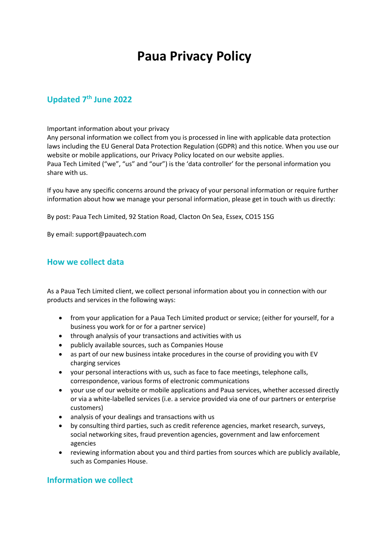# **Paua Privacy Policy**

# **Updated 7 th June 2022**

#### Important information about your privacy

Any personal information we collect from you is processed in line with applicable data protection laws including the EU General Data Protection Regulation (GDPR) and this notice. When you use our website or mobile applications, our Privacy Policy located on our website applies. Paua Tech Limited ("we", "us" and "our") is the 'data controller' for the personal information you share with us.

If you have any specific concerns around the privacy of your personal information or require further information about how we manage your personal information, please get in touch with us directly:

By post: Paua Tech Limited, 92 Station Road, Clacton On Sea, Essex, CO15 1SG

By email: support@pauatech.com

# **How we collect data**

As a Paua Tech Limited client, we collect personal information about you in connection with our products and services in the following ways:

- from your application for a Paua Tech Limited product or service; (either for yourself, for a business you work for or for a partner service)
- through analysis of your transactions and activities with us
- publicly available sources, such as Companies House
- as part of our new business intake procedures in the course of providing you with EV charging services
- your personal interactions with us, such as face to face meetings, telephone calls, correspondence, various forms of electronic communications
- your use of our website or mobile applications and Paua services, whether accessed directly or via a white-labelled services (i.e. a service provided via one of our partners or enterprise customers)
- analysis of your dealings and transactions with us
- by consulting third parties, such as credit reference agencies, market research, surveys, social networking sites, fraud prevention agencies, government and law enforcement agencies
- reviewing information about you and third parties from sources which are publicly available, such as Companies House.

# **Information we collect**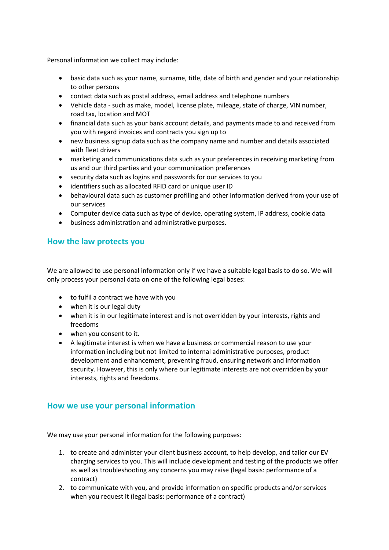Personal information we collect may include:

- basic data such as your name, surname, title, date of birth and gender and your relationship to other persons
- contact data such as postal address, email address and telephone numbers
- Vehicle data such as make, model, license plate, mileage, state of charge, VIN number, road tax, location and MOT
- financial data such as your bank account details, and payments made to and received from you with regard invoices and contracts you sign up to
- new business signup data such as the company name and number and details associated with fleet drivers
- marketing and communications data such as your preferences in receiving marketing from us and our third parties and your communication preferences
- security data such as logins and passwords for our services to you
- identifiers such as allocated RFID card or unique user ID
- behavioural data such as customer profiling and other information derived from your use of our services
- Computer device data such as type of device, operating system, IP address, cookie data
- business administration and administrative purposes.

#### **How the law protects you**

We are allowed to use personal information only if we have a suitable legal basis to do so. We will only process your personal data on one of the following legal bases:

- to fulfil a contract we have with you
- when it is our legal duty
- when it is in our legitimate interest and is not overridden by your interests, rights and freedoms
- when you consent to it.
- A legitimate interest is when we have a business or commercial reason to use your information including but not limited to internal administrative purposes, product development and enhancement, preventing fraud, ensuring network and information security. However, this is only where our legitimate interests are not overridden by your interests, rights and freedoms.

#### **How we use your personal information**

We may use your personal information for the following purposes:

- 1. to create and administer your client business account, to help develop, and tailor our EV charging services to you. This will include development and testing of the products we offer as well as troubleshooting any concerns you may raise (legal basis: performance of a contract)
- 2. to communicate with you, and provide information on specific products and/or services when you request it (legal basis: performance of a contract)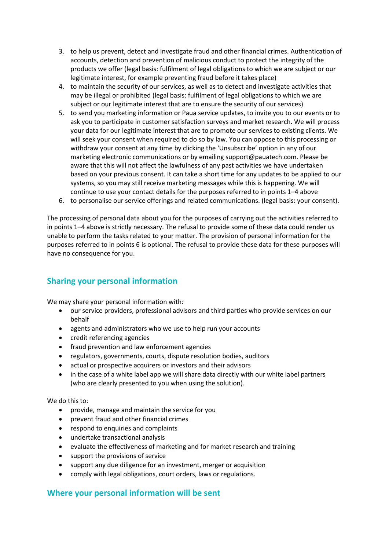- 3. to help us prevent, detect and investigate fraud and other financial crimes. Authentication of accounts, detection and prevention of malicious conduct to protect the integrity of the products we offer (legal basis: fulfilment of legal obligations to which we are subject or our legitimate interest, for example preventing fraud before it takes place)
- 4. to maintain the security of our services, as well as to detect and investigate activities that may be illegal or prohibited (legal basis: fulfilment of legal obligations to which we are subject or our legitimate interest that are to ensure the security of our services)
- 5. to send you marketing information or Paua service updates, to invite you to our events or to ask you to participate in customer satisfaction surveys and market research. We will process your data for our legitimate interest that are to promote our services to existing clients. We will seek your consent when required to do so by law. You can oppose to this processing or withdraw your consent at any time by clicking the 'Unsubscribe' option in any of our marketing electronic communications or by emailing support@pauatech.com. Please be aware that this will not affect the lawfulness of any past activities we have undertaken based on your previous consent. It can take a short time for any updates to be applied to our systems, so you may still receive marketing messages while this is happening. We will continue to use your contact details for the purposes referred to in points 1–4 above
- 6. to personalise our service offerings and related communications. (legal basis: your consent).

The processing of personal data about you for the purposes of carrying out the activities referred to in points 1–4 above is strictly necessary. The refusal to provide some of these data could render us unable to perform the tasks related to your matter. The provision of personal information for the purposes referred to in points 6 is optional. The refusal to provide these data for these purposes will have no consequence for you.

# **Sharing your personal information**

We may share your personal information with:

- our service providers, professional advisors and third parties who provide services on our behalf
- agents and administrators who we use to help run your accounts
- credit referencing agencies
- fraud prevention and law enforcement agencies
- regulators, governments, courts, dispute resolution bodies, auditors
- actual or prospective acquirers or investors and their advisors
- in the case of a white label app we will share data directly with our white label partners (who are clearly presented to you when using the solution).

#### We do this to:

- provide, manage and maintain the service for you
- prevent fraud and other financial crimes
- respond to enquiries and complaints
- undertake transactional analysis
- evaluate the effectiveness of marketing and for market research and training
- support the provisions of service
- support any due diligence for an investment, merger or acquisition
- comply with legal obligations, court orders, laws or regulations.

#### **Where your personal information will be sent**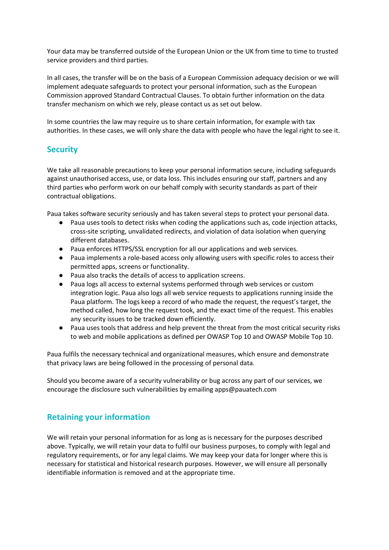Your data may be transferred outside of the European Union or the UK from time to time to trusted service providers and third parties.

In all cases, the transfer will be on the basis of a European Commission adequacy decision or we will implement adequate safeguards to protect your personal information, such as the European Commission approved Standard Contractual Clauses. To obtain further information on the data transfer mechanism on which we rely, please contact us as set out below.

In some countries the law may require us to share certain information, for example with tax authorities. In these cases, we will only share the data with people who have the legal right to see it.

#### **Security**

We take all reasonable precautions to keep your personal information secure, including safeguards against unauthorised access, use, or data loss. This includes ensuring our staff, partners and any third parties who perform work on our behalf comply with security standards as part of their contractual obligations.

Paua takes software security seriously and has taken several steps to protect your personal data.

- Paua uses tools to detect risks when coding the applications such as, code injection attacks, cross-site scripting, unvalidated redirects, and violation of data isolation when querying different databases.
- Paua enforces HTTPS/SSL encryption for all our applications and web services.
- Paua implements a role-based access only allowing users with specific roles to access their permitted apps, screens or functionality.
- Paua also tracks the details of access to application screens.
- Paua logs all access to external systems performed through web services or custom integration logic. Paua also logs all web service requests to applications running inside the Paua platform. The logs keep a record of who made the request, the request's target, the method called, how long the request took, and the exact time of the request. This enables any security issues to be tracked down efficiently.
- Paua uses tools that address and help prevent the threat from the most critical security risks to web and mobile applications as defined per OWASP Top 10 and OWASP Mobile Top 10.

Paua fulfils the necessary technical and organizational measures, which ensure and demonstrate that privacy laws are being followed in the processing of personal data.

Should you become aware of a security vulnerability or bug across any part of our services, we encourage the disclosure such vulnerabilities by emailing apps@pauatech.com

# **Retaining your information**

We will retain your personal information for as long as is necessary for the purposes described above. Typically, we will retain your data to fulfil our business purposes, to comply with legal and regulatory requirements, or for any legal claims. We may keep your data for longer where this is necessary for statistical and historical research purposes. However, we will ensure all personally identifiable information is removed and at the appropriate time.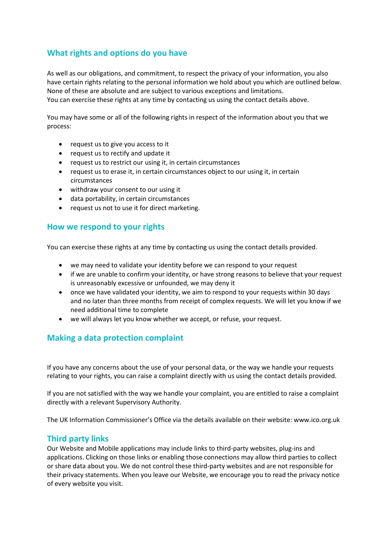# **What rights and options do you have**

As well as our obligations, and commitment, to respect the privacy of your information, you also have certain rights relating to the personal information we hold about you which are outlined below. None of these are absolute and are subject to various exceptions and limitations. You can exercise these rights at any time by contacting us using the contact details above.

You may have some or all of the following rights in respect of the information about you that we process:

- request us to give you access to it
- request us to rectify and update it
- request us to restrict our using it, in certain circumstances
- request us to erase it, in certain circumstances object to our using it, in certain circumstances
- withdraw your consent to our using it
- data portability, in certain circumstances
- request us not to use it for direct marketing.

#### **How we respond to your rights**

You can exercise these rights at any time by contacting us using the contact details provided.

- we may need to validate your identity before we can respond to your request
- if we are unable to confirm your identity, or have strong reasons to believe that your request is unreasonably excessive or unfounded, we may deny it
- once we have validated your identity, we aim to respond to your requests within 30 days and no later than three months from receipt of complex requests. We will let you know if we need additional time to complete
- we will always let you know whether we accept, or refuse, your request.

# **Making a data protection complaint**

If you have any concerns about the use of your personal data, or the way we handle your requests relating to your rights, you can raise a complaint directly with us using the contact details provided.

If you are not satisfied with the way we handle your complaint, you are entitled to raise a complaint directly with a relevant Supervisory Authority.

The UK Information Commissioner's Office via the details available on their website: www.ico.org.uk

#### **Third party links**

Our Website and Mobile applications may include links to third-party websites, plug-ins and applications. Clicking on those links or enabling those connections may allow third parties to collect or share data about you. We do not control these third-party websites and are not responsible for their privacy statements. When you leave our Website, we encourage you to read the privacy notice of every website you visit.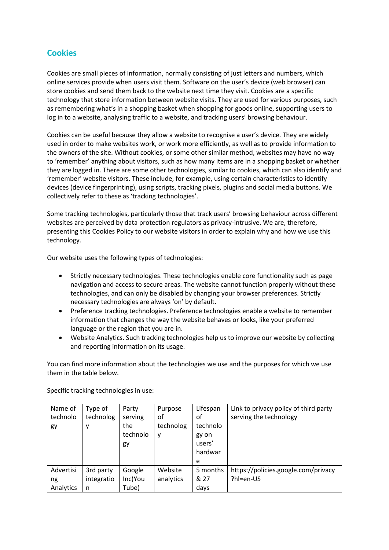# **Cookies**

Cookies are small pieces of information, normally consisting of just letters and numbers, which online services provide when users visit them. Software on the user's device (web browser) can store cookies and send them back to the website next time they visit. Cookies are a specific technology that store information between website visits. They are used for various purposes, such as remembering what's in a shopping basket when shopping for goods online, supporting users to log in to a website, analysing traffic to a website, and tracking users' browsing behaviour.

Cookies can be useful because they allow a website to recognise a user's device. They are widely used in order to make websites work, or work more efficiently, as well as to provide information to the owners of the site. Without cookies, or some other similar method, websites may have no way to 'remember' anything about visitors, such as how many items are in a shopping basket or whether they are logged in. There are some other technologies, similar to cookies, which can also identify and 'remember' website visitors. These include, for example, using certain characteristics to identify devices (device fingerprinting), using scripts, tracking pixels, plugins and social media buttons. We collectively refer to these as 'tracking technologies'.

Some tracking technologies, particularly those that track users' browsing behaviour across different websites are perceived by data protection regulators as privacy-intrusive. We are, therefore, presenting this Cookies Policy to our website visitors in order to explain why and how we use this technology.

Our website uses the following types of technologies:

- Strictly necessary technologies. These technologies enable core functionality such as page navigation and access to secure areas. The website cannot function properly without these technologies, and can only be disabled by changing your browser preferences. Strictly necessary technologies are always 'on' by default.
- Preference tracking technologies. Preference technologies enable a website to remember information that changes the way the website behaves or looks, like your preferred language or the region that you are in.
- Website Analytics. Such tracking technologies help us to improve our website by collecting and reporting information on its usage.

You can find more information about the technologies we use and the purposes for which we use them in the table below.

| Name of<br>technolo<br>gy | Type of<br>technolog<br>у | Party<br>serving<br>the<br>technolo<br>gy | Purpose<br>оf<br>technolog<br>у | Lifespan<br>of<br>technolo<br>gy on<br>users'<br>hardwar | Link to privacy policy of third party<br>serving the technology |
|---------------------------|---------------------------|-------------------------------------------|---------------------------------|----------------------------------------------------------|-----------------------------------------------------------------|
|                           |                           |                                           |                                 | e                                                        |                                                                 |
| Advertisi                 | 3rd party                 | Google                                    | Website                         | 5 months                                                 | https://policies.google.com/privacy                             |
| ng                        | integratio                | Inc(You                                   | analytics                       | & 27                                                     | ?hl=en-US                                                       |
| Analytics                 | n                         | Tube)                                     |                                 | days                                                     |                                                                 |

Specific tracking technologies in use: